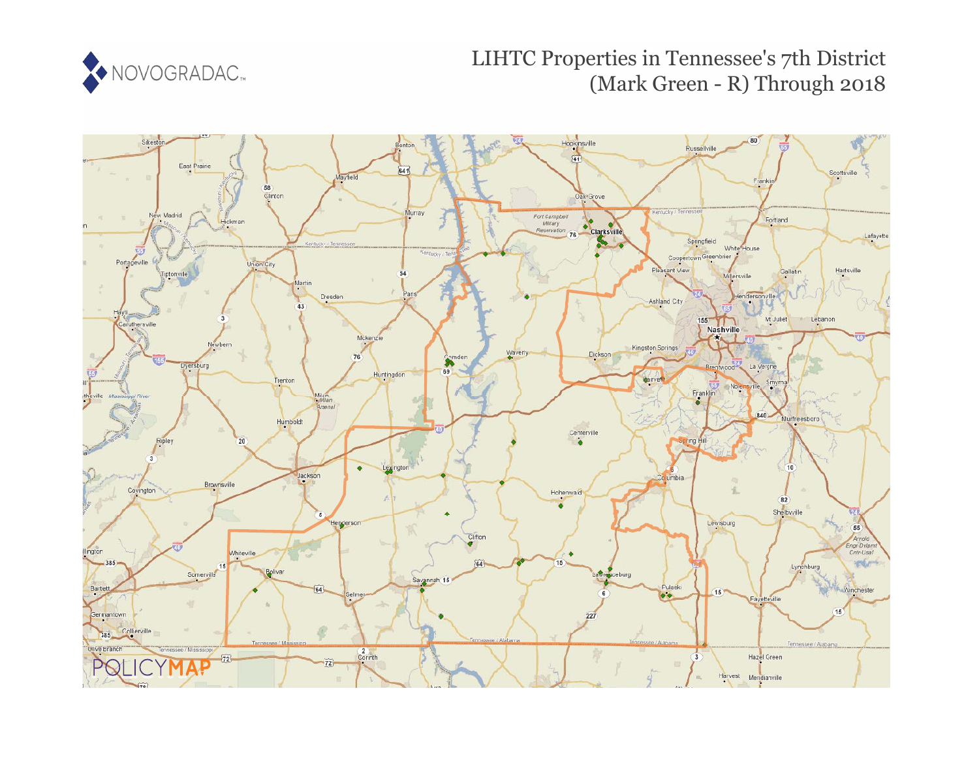

# LIHTC Properties in Tennessee's 7th District (Mark Green - R) Through 2018

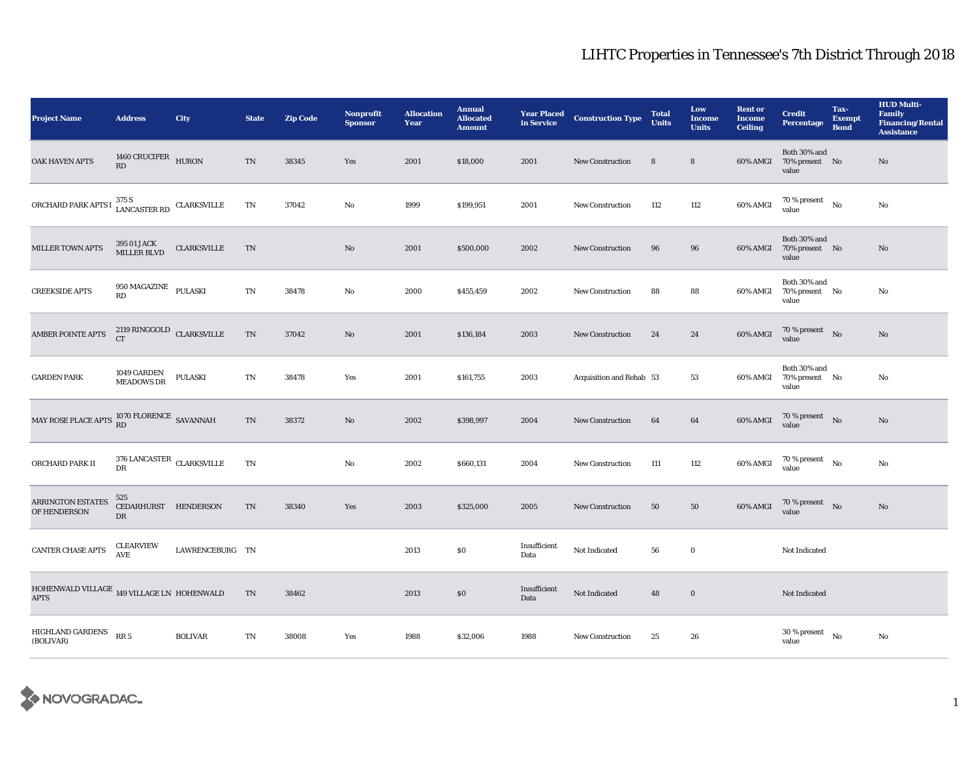| <b>Project Name</b>                                                                            | <b>Address</b>                                  | City               | <b>State</b>               | <b>Zip Code</b> | <b>Nonprofit</b><br><b>Sponsor</b> | <b>Allocation</b><br>Year | <b>Annual</b><br><b>Allocated</b><br><b>Amount</b> | <b>Year Placed</b><br>in Service | <b>Construction Type</b> | <b>Total</b><br><b>Units</b> | Low<br><b>Income</b><br><b>Units</b> | <b>Rent or</b><br><b>Income</b><br><b>Ceiling</b> | <b>Credit</b><br><b>Percentage</b>      | Tax-<br><b>Exempt</b><br><b>Bond</b> | <b>HUD Multi-</b><br>Family<br><b>Financing/Rental</b><br><b>Assistance</b> |
|------------------------------------------------------------------------------------------------|-------------------------------------------------|--------------------|----------------------------|-----------------|------------------------------------|---------------------------|----------------------------------------------------|----------------------------------|--------------------------|------------------------------|--------------------------------------|---------------------------------------------------|-----------------------------------------|--------------------------------------|-----------------------------------------------------------------------------|
| OAK HAVEN APTS                                                                                 | 1460 CRUCIFER HURON<br>RD                       |                    | TN                         | 38345           | Yes                                | 2001                      | \$18,000                                           | 2001                             | New Construction         | 8                            | 8                                    | 60% AMGI                                          | Both 30% and<br>70% present No<br>value |                                      | No                                                                          |
| ORCHARD PARK APTS I                                                                            | $1375$ S<br>LANCASTER RD CLARKSVILLE            |                    | TN                         | 37042           | No                                 | 1999                      | \$199,951                                          | 2001                             | <b>New Construction</b>  | 112                          | 112                                  | 60% AMGI                                          | $70\,\%$ present $$$ No value           |                                      | No                                                                          |
| <b>MILLER TOWN APTS</b>                                                                        | 395 01 JACK<br>MILLER BLVD                      | <b>CLARKSVILLE</b> | TN                         |                 | No                                 | 2001                      | \$500,000                                          | 2002                             | <b>New Construction</b>  | 96                           | 96                                   | 60% AMGI                                          | Both 30% and<br>70% present No<br>value |                                      | No                                                                          |
| <b>CREEKSIDE APTS</b>                                                                          | 950 MAGAZINE PULASKI<br>RD                      |                    | $\mathop{\rm TN}\nolimits$ | 38478           | No                                 | 2000                      | \$455,459                                          | 2002                             | <b>New Construction</b>  | 88                           | 88                                   | 60% AMGI                                          | Both 30% and<br>70% present No<br>value |                                      | No                                                                          |
| <b>AMBER POINTE APTS</b>                                                                       | $2119$ RINGGOLD $\,$ CLARKSVILLE<br>CT          |                    | <b>TN</b>                  | 37042           | No                                 | 2001                      | \$136,184                                          | 2003                             | New Construction         | 24                           | 24                                   | 60% AMGI                                          | $70\,\%$ present $$$ No value           |                                      | No                                                                          |
| <b>GARDEN PARK</b>                                                                             | 1049 GARDEN<br>MEADOWS DR                       | <b>PULASKI</b>     | TN                         | 38478           | Yes                                | 2001                      | \$161,755                                          | 2003                             | Acquisition and Rehab 53 |                              | 53                                   | 60% AMGI                                          | Both 30% and<br>70% present No<br>value |                                      | No                                                                          |
| MAY ROSE PLACE APTS $\begin{array}{l} 1070 \text{ FLORENCE} \\ \text{RD} \end{array}$ SAVANNAH |                                                 |                    | $\mathcal{T}\mathcal{N}$   | 38372           | $\mathbf{No}$                      | 2002                      | \$398,997                                          | 2004                             | New Construction         | 64                           | 64                                   | 60% AMGI                                          | $70\,\%$ present $$$ No value           |                                      | No                                                                          |
| ORCHARD PARK II                                                                                | $376$ LANCASTER $\,$ CLARKSVILLE<br>$_{\rm DR}$ |                    | $\mathbf{T}\mathbf{N}$     |                 | No                                 | 2002                      | \$660,131                                          | 2004                             | <b>New Construction</b>  | 111                          | 112                                  | 60% AMGI                                          | $70\,\%$ present $$$ No value           |                                      | No                                                                          |
| <b>ARRINGTON ESTATES</b><br>OF HENDERSON                                                       | 525<br>CEDARHURST HENDERSON<br>DR               |                    | TN                         | 38340           | Yes                                | 2003                      | \$325,000                                          | 2005                             | <b>New Construction</b>  | 50                           | 50                                   | 60% AMGI                                          | $70\,\%$ present $$$ No value           |                                      | No                                                                          |
| CANTER CHASE APTS                                                                              | <b>CLEARVIEW</b><br>AVE.                        | LAWRENCEBURG TN    |                            |                 |                                    | 2013                      | $\$0$                                              | Insufficient<br>Data             | Not Indicated            | 56                           | $\bf{0}$                             |                                                   | Not Indicated                           |                                      |                                                                             |
| HOHENWALD VILLAGE $_{\rm 149}$ VILLAGE LN $\,$ HOHENWALD<br><b>APTS</b>                        |                                                 |                    | $\mathcal{T}\mathcal{N}$   | 38462           |                                    | 2013                      | $\$0$                                              | Insufficient<br>Data             | Not Indicated            | 48                           | $\bf{0}$                             |                                                   | Not Indicated                           |                                      |                                                                             |
| HIGHLAND GARDENS RR 5<br>(BOLIVAR)                                                             |                                                 | <b>BOLIVAR</b>     | $\mathbf{T}\mathbf{N}$     | 38008           | Yes                                | 1988                      | \$32,006                                           | 1988                             | <b>New Construction</b>  | 25                           | 26                                   |                                                   | $30$ % present $\hbox{~No}$<br>value    |                                      | No                                                                          |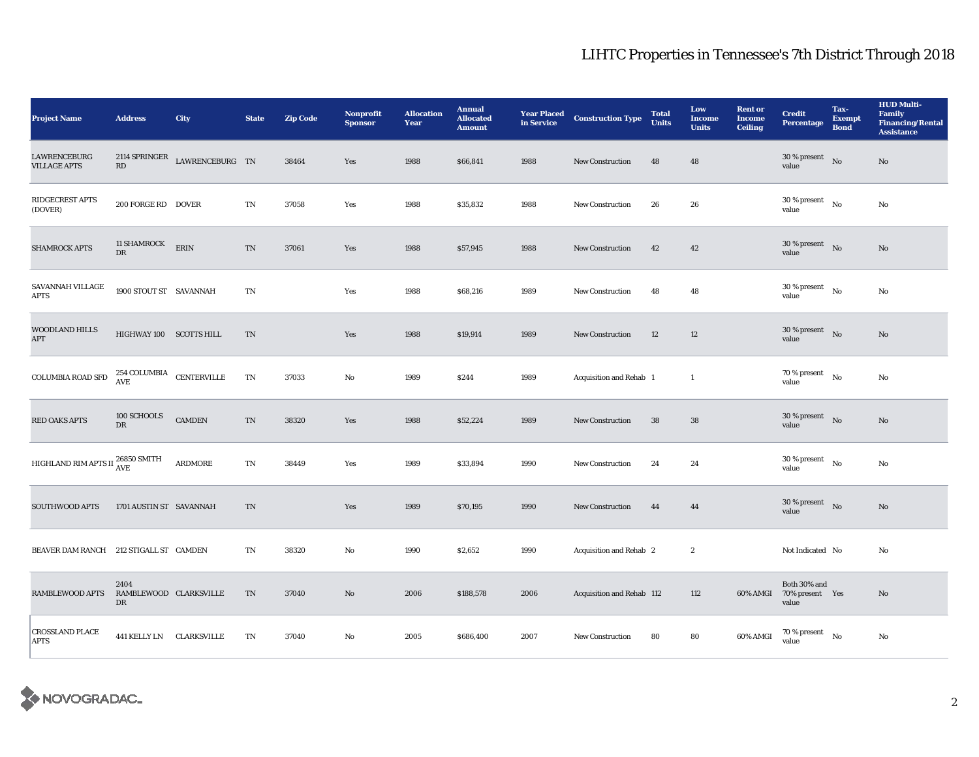| <b>Project Name</b>                        | <b>Address</b>                         | <b>City</b>     | <b>State</b>           | <b>Zip Code</b> | <b>Nonprofit</b><br><b>Sponsor</b> | <b>Allocation</b><br>Year | <b>Annual</b><br><b>Allocated</b><br><b>Amount</b> | <b>Year Placed</b><br>in Service | <b>Construction Type</b>       | <b>Total</b><br><b>Units</b> | Low<br><b>Income</b><br><b>Units</b> | <b>Rent or</b><br><b>Income</b><br><b>Ceiling</b> | <b>Credit</b><br><b>Percentage</b>                | Tax-<br><b>Exempt</b><br><b>Bond</b> | <b>HUD Multi-</b><br><b>Family</b><br><b>Financing/Rental</b><br><b>Assistance</b> |
|--------------------------------------------|----------------------------------------|-----------------|------------------------|-----------------|------------------------------------|---------------------------|----------------------------------------------------|----------------------------------|--------------------------------|------------------------------|--------------------------------------|---------------------------------------------------|---------------------------------------------------|--------------------------------------|------------------------------------------------------------------------------------|
| <b>LAWRENCEBURG</b><br><b>VILLAGE APTS</b> | 2114 SPRINGER<br>RD                    | LAWRENCEBURG TN |                        | 38464           | Yes                                | 1988                      | \$66,841                                           | 1988                             | <b>New Construction</b>        | 48                           | 48                                   |                                                   | 30 % present<br>value                             | $\rm No$                             | $\mathbf{N}\mathbf{o}$                                                             |
| RIDGECREST APTS<br>(DOVER)                 | 200 FORGE RD DOVER                     |                 | $\mathbf{T}\mathbf{N}$ | 37058           | Yes                                | 1988                      | \$35,832                                           | 1988                             | New Construction               | 26                           | 26                                   |                                                   | 30 % present<br>value                             | No                                   | No                                                                                 |
| <b>SHAMROCK APTS</b>                       | <b>11 SHAMROCK</b><br>DR               | ERIN            | TN                     | 37061           | Yes                                | 1988                      | \$57,945                                           | 1988                             | <b>New Construction</b>        | 42                           | 42                                   |                                                   | $30\,\%$ present $$$ No $\,$<br>value             |                                      | No                                                                                 |
| SAVANNAH VILLAGE<br><b>APTS</b>            | 1900 STOUT ST SAVANNAH                 |                 | TN                     |                 | Yes                                | 1988                      | \$68,216                                           | 1989                             | <b>New Construction</b>        | 48                           | 48                                   |                                                   | 30 % present<br>value                             | $\mathbf{N}\mathbf{o}$               | No                                                                                 |
| <b>WOODLAND HILLS</b><br>APT               | HIGHWAY 100 SCOTTS HILL                |                 | TN                     |                 | Yes                                | 1988                      | \$19,914                                           | 1989                             | <b>New Construction</b>        | 12                           | 12                                   |                                                   | 30 % present<br>value                             | $\rm No$                             | $\mathbf{N}\mathbf{o}$                                                             |
| COLUMBIA ROAD SFD                          | $254$ COLUMBIA $\quad$ CENTERVILLE AVE |                 | $\mathbf{T}\mathbf{N}$ | 37033           | No                                 | 1989                      | \$244                                              | 1989                             | Acquisition and Rehab 1        |                              | $\mathbf{1}$                         |                                                   | 70 % present<br>value                             | $_{\rm No}$                          | No                                                                                 |
| <b>RED OAKS APTS</b>                       | 100 SCHOOLS<br>DR                      | <b>CAMDEN</b>   | TN                     | 38320           | Yes                                | 1988                      | \$52,224                                           | 1989                             | <b>New Construction</b>        | 38                           | ${\bf 38}$                           |                                                   | $30$ % present $\;\;$ No $\;$<br>value            |                                      | No                                                                                 |
| HIGHLAND RIM APTS II $^{26850}_{\rm{AVE}}$ |                                        | ARDMORE         | $\mathbf{T}\mathbf{N}$ | 38449           | Yes                                | 1989                      | \$33,894                                           | 1990                             | <b>New Construction</b>        | 24                           | 24                                   |                                                   | 30 % present<br>value                             | $\mathbf{N}\mathbf{o}$               | No                                                                                 |
| <b>SOUTHWOOD APTS</b>                      | 1701 AUSTIN ST SAVANNAH                |                 | TN                     |                 | Yes                                | 1989                      | \$70,195                                           | 1990                             | <b>New Construction</b>        | 44                           | 44                                   |                                                   | $30$ % present $$\rm{No}$$<br>value               |                                      | $\mathbf{N}\mathbf{o}$                                                             |
| BEAVER DAM RANCH 212 STIGALL ST CAMDEN     |                                        |                 | TN                     | 38320           | No                                 | 1990                      | \$2,652                                            | 1990                             | <b>Acquisition and Rehab 2</b> |                              | $\boldsymbol{2}$                     |                                                   | Not Indicated No                                  |                                      | No                                                                                 |
| <b>RAMBLEWOOD APTS</b>                     | 2404<br>RAMBLEWOOD CLARKSVILLE<br>DR   |                 | TN                     | 37040           | $\mathbf{No}$                      | 2006                      | \$188,578                                          | 2006                             | Acquisition and Rehab 112      |                              | 112                                  |                                                   | Both 30% and<br>60% AMGI 70% present Yes<br>value |                                      | No                                                                                 |
| <b>CROSSLAND PLACE</b><br><b>APTS</b>      | 441 KELLY LN CLARKSVILLE               |                 | TN                     | 37040           | No                                 | 2005                      | \$686,400                                          | 2007                             | <b>New Construction</b>        | 80                           | 80                                   | 60% AMGI                                          | $70$ % present<br>value                           | $\mathbf{N}\mathbf{o}$               | No                                                                                 |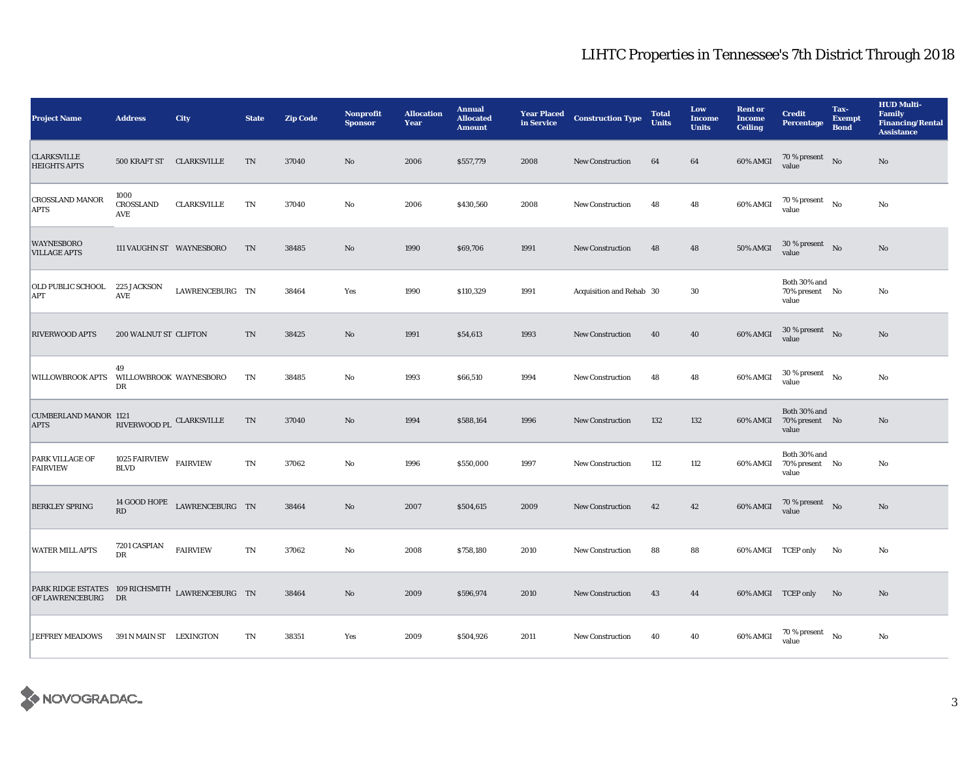| <b>Project Name</b>                                                    | <b>Address</b>                        | City                     | <b>State</b>           | <b>Zip Code</b> | Nonprofit<br><b>Sponsor</b> | <b>Allocation</b><br>Year | <b>Annual</b><br><b>Allocated</b><br><b>Amount</b> | <b>Year Placed</b><br>in Service | <b>Construction Type</b> | <b>Total</b><br><b>Units</b> | Low<br><b>Income</b><br><b>Units</b> | <b>Rent or</b><br><b>Income</b><br><b>Ceiling</b> | <b>Credit</b><br><b>Percentage</b>         | Tax-<br><b>Exempt</b><br><b>Bond</b> | <b>HUD Multi-</b><br><b>Family</b><br><b>Financing/Rental</b><br><b>Assistance</b> |
|------------------------------------------------------------------------|---------------------------------------|--------------------------|------------------------|-----------------|-----------------------------|---------------------------|----------------------------------------------------|----------------------------------|--------------------------|------------------------------|--------------------------------------|---------------------------------------------------|--------------------------------------------|--------------------------------------|------------------------------------------------------------------------------------|
| <b>CLARKSVILLE</b><br><b>HEIGHTS APTS</b>                              |                                       | 500 KRAFT ST CLARKSVILLE | TN                     | 37040           | $\mathbf{No}$               | 2006                      | \$557,779                                          | 2008                             | New Construction         | 64                           | 64                                   | 60% AMGI                                          | $70$ % present $\;\;$ No $\;\;$<br>value   |                                      | No                                                                                 |
| <b>CROSSLAND MANOR</b><br><b>APTS</b>                                  | 1000<br><b>CROSSLAND</b><br>AVE       | <b>CLARKSVILLE</b>       | TN                     | 37040           | No                          | 2006                      | \$430,560                                          | 2008                             | <b>New Construction</b>  | 48                           | 48                                   | 60% AMGI                                          | $70$ % present $_{\rm No}$<br>value        |                                      | No                                                                                 |
| <b>WAYNESBORO</b><br><b>VILLAGE APTS</b>                               |                                       | 111 VAUGHN ST WAYNESBORO | TN                     | 38485           | No                          | 1990                      | \$69,706                                           | 1991                             | <b>New Construction</b>  | 48                           | 48                                   | <b>50% AMGI</b>                                   | $30\,\%$ present $$$ No $\,$<br>value      |                                      | No                                                                                 |
| OLD PUBLIC SCHOOL<br><b>APT</b>                                        | <b>225 JACKSON</b><br>AVE             | LAWRENCEBURG TN          |                        | 38464           | Yes                         | 1990                      | \$110,329                                          | 1991                             | Acquisition and Rehab 30 |                              | 30                                   |                                                   | Both 30% and<br>70% present No<br>value    |                                      | No                                                                                 |
| <b>RIVERWOOD APTS</b>                                                  | 200 WALNUT ST CLIFTON                 |                          | TN                     | 38425           | No                          | 1991                      | \$54,613                                           | 1993                             | <b>New Construction</b>  | 40                           | 40                                   | 60% AMGI                                          | $30$ % present $\;\;$ No $\;$<br>value     |                                      | No                                                                                 |
| <b>WILLOWBROOK APTS</b>                                                | 49<br>WILLOWBROOK WAYNESBORO<br>DR    |                          | $\mathbf{T}\mathbf{N}$ | 38485           | No                          | 1993                      | \$66,510                                           | 1994                             | <b>New Construction</b>  | 48                           | 48                                   | 60% AMGI                                          | $30$ % present $\quad$ No $\quad$<br>value |                                      | No                                                                                 |
| <b>CUMBERLAND MANOR 1121</b><br><b>APTS</b>                            | RIVERWOOD PL CLARKSVILLE              |                          | TN                     | 37040           | No                          | 1994                      | \$588,164                                          | 1996                             | <b>New Construction</b>  | 132                          | 132                                  | 60% AMGI                                          | Both 30% and<br>70% present No<br>value    |                                      | No                                                                                 |
| PARK VILLAGE OF<br><b>FAIRVIEW</b>                                     | 1025 FAIRVIEW FAIRVIEW<br><b>BLVD</b> |                          | TN                     | 37062           | No                          | 1996                      | \$550,000                                          | 1997                             | <b>New Construction</b>  | 112                          | 112                                  | 60% AMGI                                          | Both 30% and<br>70% present No<br>value    |                                      | No                                                                                 |
| <b>BERKLEY SPRING</b>                                                  | 14 GOOD HOPE<br>RD                    | LAWRENCEBURG TN          |                        | 38464           | $\mathbf{No}$               | 2007                      | \$504,615                                          | 2009                             | <b>New Construction</b>  | 42                           | 42                                   | 60% AMGI                                          | $70\,\%$ present $$$ No value              |                                      | No                                                                                 |
| <b>WATER MILL APTS</b>                                                 | 7201 CASPIAN<br>DR                    | <b>FAIRVIEW</b>          | TN                     | 37062           | No                          | 2008                      | \$758,180                                          | 2010                             | <b>New Construction</b>  | 88                           | 88                                   | 60% AMGI TCEP only                                |                                            | No                                   | No                                                                                 |
| PARK RIDGE ESTATES 109 RICHSMITH LAWRENCEBURG TN<br>OF LAWRENCEBURG DR |                                       |                          |                        | 38464           | No                          | 2009                      | \$596,974                                          | 2010                             | <b>New Construction</b>  | 43                           | 44                                   | 60% AMGI TCEP only                                |                                            | No                                   | No                                                                                 |
| <b>JEFFREY MEADOWS</b>                                                 | 391 N MAIN ST LEXINGTON               |                          | TN                     | 38351           | Yes                         | 2009                      | \$504,926                                          | 2011                             | <b>New Construction</b>  | 40                           | 40                                   | 60% AMGI                                          | $70$ % present $_{\rm ~No}$<br>value       |                                      | No                                                                                 |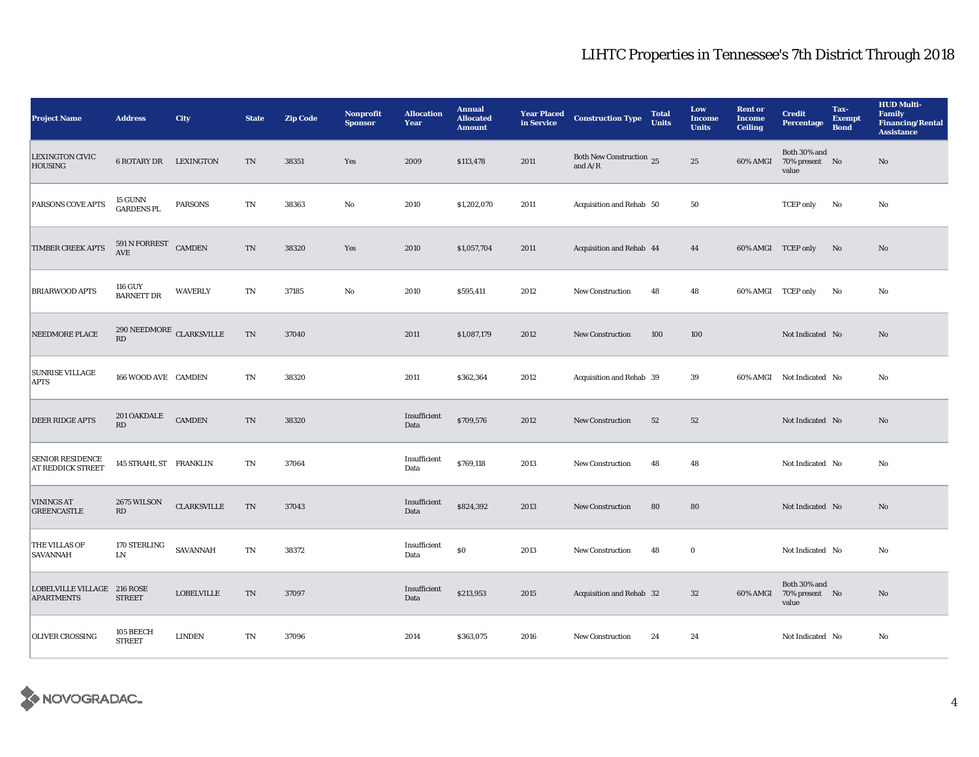| <b>Project Name</b>                              | <b>Address</b>                        | City                            | <b>State</b>               | <b>Zip Code</b> | <b>Nonprofit</b><br><b>Sponsor</b> | <b>Allocation</b><br>Year | <b>Annual</b><br><b>Allocated</b><br><b>Amount</b> | <b>Year Placed</b><br>in Service | <b>Construction Type</b>              | <b>Total</b><br><b>Units</b> | Low<br><b>Income</b><br><b>Units</b> | <b>Rent or</b><br><b>Income</b><br><b>Ceiling</b> | <b>Credit</b><br><b>Percentage</b>      | Tax-<br><b>Exempt</b><br><b>Bond</b> | <b>HUD Multi-</b><br><b>Family</b><br><b>Financing/Rental</b><br><b>Assistance</b> |
|--------------------------------------------------|---------------------------------------|---------------------------------|----------------------------|-----------------|------------------------------------|---------------------------|----------------------------------------------------|----------------------------------|---------------------------------------|------------------------------|--------------------------------------|---------------------------------------------------|-----------------------------------------|--------------------------------------|------------------------------------------------------------------------------------|
| <b>LEXINGTON CIVIC</b><br><b>HOUSING</b>         | <b>6 ROTARY DR</b>                    | LEXINGTON                       | TN                         | 38351           | Yes                                | 2009                      | \$113,478                                          | 2011                             | Both New Construction 25<br>and $A/R$ |                              | 25                                   | 60% AMGI                                          | Both 30% and<br>70% present No<br>value |                                      | No                                                                                 |
| PARSONS COVE APTS                                | 15 GUNN<br><b>GARDENS PL</b>          | <b>PARSONS</b>                  | TN                         | 38363           | No                                 | 2010                      | \$1,202,070                                        | 2011                             | Acquisition and Rehab 50              |                              | 50                                   |                                                   | <b>TCEP</b> only                        | No                                   | No                                                                                 |
| TIMBER CREEK APTS                                | 591 N FORREST<br>$\operatorname{AVE}$ | <b>CAMDEN</b>                   | TN                         | 38320           | Yes                                | 2010                      | \$1,057,704                                        | 2011                             | Acquisition and Rehab 44              |                              | 44                                   | 60% AMGI TCEP only                                |                                         | No                                   | No                                                                                 |
| <b>BRIARWOOD APTS</b>                            | 116 GUY<br><b>BARNETT DR</b>          | <b>WAVERLY</b>                  | $\mathop{\rm TN}\nolimits$ | 37185           | No                                 | 2010                      | \$595,411                                          | 2012                             | <b>New Construction</b>               | 48                           | 48                                   | 60% AMGI TCEP only                                |                                         | No                                   | No                                                                                 |
| NEEDMORE PLACE                                   | RD                                    | $290$ NEEDMORE $\,$ CLARKSVILLE | $\mathcal{T}\mathcal{N}$   | 37040           |                                    | 2011                      | \$1,087,179                                        | 2012                             | New Construction                      | 100                          | 100                                  |                                                   | Not Indicated No                        |                                      | $\mathbf{No}$                                                                      |
| <b>SUNRISE VILLAGE</b><br><b>APTS</b>            | 166 WOOD AVE CAMDEN                   |                                 | TN                         | 38320           |                                    | 2011                      | \$362,364                                          | 2012                             | Acquisition and Rehab 39              |                              | 39                                   |                                                   | 60% AMGI Not Indicated No               |                                      | No                                                                                 |
| <b>DEER RIDGE APTS</b>                           | 201 OAKDALE<br>RD                     | <b>CAMDEN</b>                   | TN                         | 38320           |                                    | Insufficient<br>Data      | \$709,576                                          | 2012                             | New Construction                      | 52                           | 52                                   |                                                   | Not Indicated No                        |                                      | No                                                                                 |
| <b>SENIOR RESIDENCE</b><br>AT REDDICK STREET     | 145 STRAHL ST FRANKLIN                |                                 | TN                         | 37064           |                                    | Insufficient<br>Data      | \$769,118                                          | 2013                             | New Construction                      | 48                           | 48                                   |                                                   | Not Indicated No                        |                                      | No                                                                                 |
| <b>VININGS AT</b><br><b>GREENCASTLE</b>          | 2675 WILSON<br>RD                     | <b>CLARKSVILLE</b>              | TN                         | 37043           |                                    | Insufficient<br>Data      | \$824,392                                          | 2013                             | <b>New Construction</b>               | 80                           | 80                                   |                                                   | Not Indicated No                        |                                      | No                                                                                 |
| THE VILLAS OF<br>SAVANNAH                        | 170 STERLING<br>${\rm LN}$            | <b>SAVANNAH</b>                 | TN                         | 38372           |                                    | Insufficient<br>Data      | \$0                                                | 2013                             | <b>New Construction</b>               | 48                           | $\bf{0}$                             |                                                   | Not Indicated No                        |                                      | No                                                                                 |
| LOBELVILLE VILLAGE 216 ROSE<br><b>APARTMENTS</b> | <b>STREET</b>                         | <b>LOBELVILLE</b>               | TN                         | 37097           |                                    | Insufficient<br>Data      | \$213,953                                          | 2015                             | Acquisition and Rehab 32              |                              | 32                                   | 60% AMGI                                          | Both 30% and<br>70% present No<br>value |                                      | No                                                                                 |
| <b>OLIVER CROSSING</b>                           | 105 BEECH<br><b>STREET</b>            | <b>LINDEN</b>                   | TN                         | 37096           |                                    | 2014                      | \$363,075                                          | 2016                             | <b>New Construction</b>               | 24                           | 24                                   |                                                   | Not Indicated No                        |                                      | No                                                                                 |